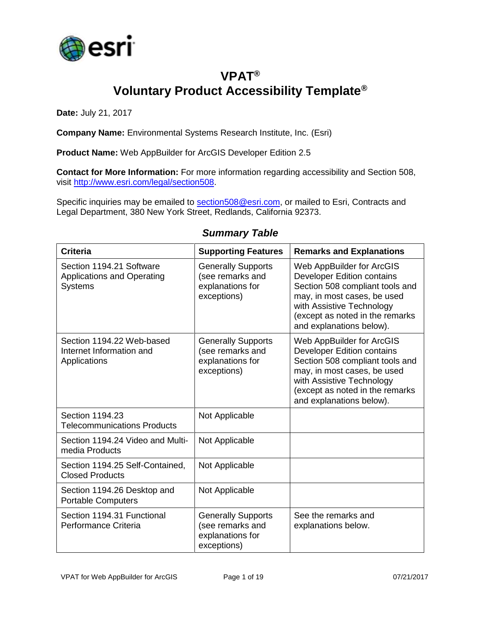

## **VPAT® Voluntary Product Accessibility Template®**

**Date:** July 21, 2017

**Company Name:** Environmental Systems Research Institute, Inc. (Esri)

**Product Name:** Web AppBuilder for ArcGIS Developer Edition 2.5

**Contact for More Information:** For more information regarding accessibility and Section 508, visit [http://www.esri.com/legal/section508.](http://www.esri.com/legal/section508)

Specific inquiries may be emailed to [section508@esri.com,](mailto:section508@esri.com) or mailed to Esri, Contracts and Legal Department, 380 New York Street, Redlands, California 92373.

| <b>Criteria</b>                                                                 | <b>Supporting Features</b>                                                       | <b>Remarks and Explanations</b>                                                                                                                                                                                              |
|---------------------------------------------------------------------------------|----------------------------------------------------------------------------------|------------------------------------------------------------------------------------------------------------------------------------------------------------------------------------------------------------------------------|
| Section 1194.21 Software<br><b>Applications and Operating</b><br><b>Systems</b> | <b>Generally Supports</b><br>(see remarks and<br>explanations for<br>exceptions) | Web AppBuilder for ArcGIS<br><b>Developer Edition contains</b><br>Section 508 compliant tools and<br>may, in most cases, be used<br>with Assistive Technology<br>(except as noted in the remarks<br>and explanations below). |
| Section 1194.22 Web-based<br>Internet Information and<br>Applications           | <b>Generally Supports</b><br>(see remarks and<br>explanations for<br>exceptions) | Web AppBuilder for ArcGIS<br><b>Developer Edition contains</b><br>Section 508 compliant tools and<br>may, in most cases, be used<br>with Assistive Technology<br>(except as noted in the remarks<br>and explanations below). |
| Section 1194.23<br><b>Telecommunications Products</b>                           | Not Applicable                                                                   |                                                                                                                                                                                                                              |
| Section 1194.24 Video and Multi-<br>media Products                              | Not Applicable                                                                   |                                                                                                                                                                                                                              |
| Section 1194.25 Self-Contained,<br><b>Closed Products</b>                       | Not Applicable                                                                   |                                                                                                                                                                                                                              |
| Section 1194.26 Desktop and<br><b>Portable Computers</b>                        | Not Applicable                                                                   |                                                                                                                                                                                                                              |
| Section 1194.31 Functional<br>Performance Criteria                              | <b>Generally Supports</b><br>(see remarks and<br>explanations for<br>exceptions) | See the remarks and<br>explanations below.                                                                                                                                                                                   |

#### *Summary Table*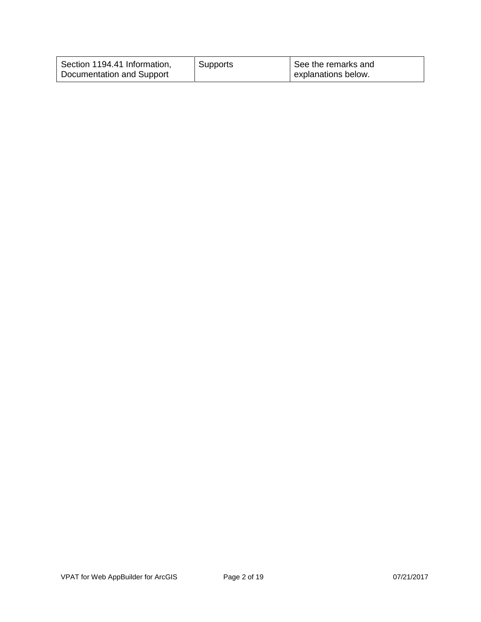| Section 1194.41 Information, | Supports | See the remarks and |
|------------------------------|----------|---------------------|
| Documentation and Support    |          | explanations below. |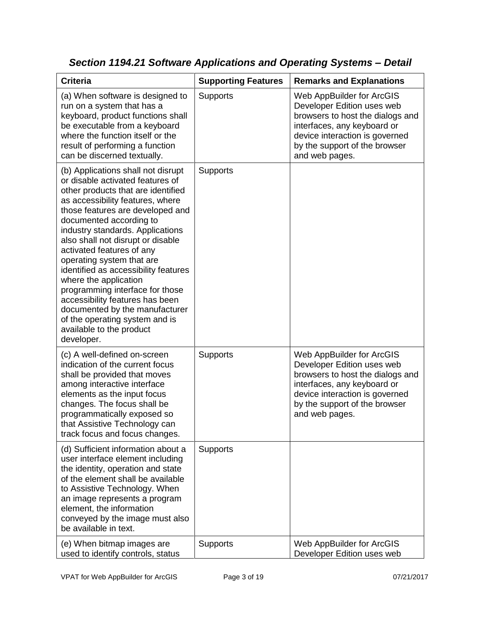| <b>Criteria</b>                                                                                                                                                                                                                                                                                                                                                                                                                                                                                                                                                                                         | <b>Supporting Features</b> | <b>Remarks and Explanations</b>                                                                                                                                                                                 |
|---------------------------------------------------------------------------------------------------------------------------------------------------------------------------------------------------------------------------------------------------------------------------------------------------------------------------------------------------------------------------------------------------------------------------------------------------------------------------------------------------------------------------------------------------------------------------------------------------------|----------------------------|-----------------------------------------------------------------------------------------------------------------------------------------------------------------------------------------------------------------|
| (a) When software is designed to<br>run on a system that has a<br>keyboard, product functions shall<br>be executable from a keyboard<br>where the function itself or the<br>result of performing a function<br>can be discerned textually.                                                                                                                                                                                                                                                                                                                                                              | <b>Supports</b>            | Web AppBuilder for ArcGIS<br>Developer Edition uses web<br>browsers to host the dialogs and<br>interfaces, any keyboard or<br>device interaction is governed<br>by the support of the browser<br>and web pages. |
| (b) Applications shall not disrupt<br>or disable activated features of<br>other products that are identified<br>as accessibility features, where<br>those features are developed and<br>documented according to<br>industry standards. Applications<br>also shall not disrupt or disable<br>activated features of any<br>operating system that are<br>identified as accessibility features<br>where the application<br>programming interface for those<br>accessibility features has been<br>documented by the manufacturer<br>of the operating system and is<br>available to the product<br>developer. | Supports                   |                                                                                                                                                                                                                 |
| (c) A well-defined on-screen<br>indication of the current focus<br>shall be provided that moves<br>among interactive interface<br>elements as the input focus<br>changes. The focus shall be<br>programmatically exposed so<br>that Assistive Technology can<br>track focus and focus changes.                                                                                                                                                                                                                                                                                                          | <b>Supports</b>            | Web AppBuilder for ArcGIS<br>Developer Edition uses web<br>browsers to host the dialogs and<br>interfaces, any keyboard or<br>device interaction is governed<br>by the support of the browser<br>and web pages. |
| (d) Sufficient information about a<br>user interface element including<br>the identity, operation and state<br>of the element shall be available<br>to Assistive Technology. When<br>an image represents a program<br>element, the information<br>conveyed by the image must also<br>be available in text.                                                                                                                                                                                                                                                                                              | <b>Supports</b>            |                                                                                                                                                                                                                 |
| (e) When bitmap images are<br>used to identify controls, status                                                                                                                                                                                                                                                                                                                                                                                                                                                                                                                                         | Supports                   | Web AppBuilder for ArcGIS<br>Developer Edition uses web                                                                                                                                                         |

*Section 1194.21 Software Applications and Operating Systems – Detail*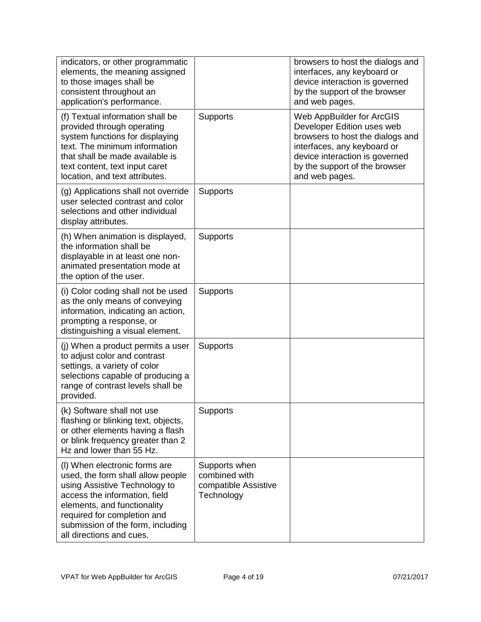| indicators, or other programmatic<br>elements, the meaning assigned<br>to those images shall be<br>consistent throughout an<br>application's performance.                                                                                                           |                                                                      | browsers to host the dialogs and<br>interfaces, any keyboard or<br>device interaction is governed<br>by the support of the browser<br>and web pages.                                                            |
|---------------------------------------------------------------------------------------------------------------------------------------------------------------------------------------------------------------------------------------------------------------------|----------------------------------------------------------------------|-----------------------------------------------------------------------------------------------------------------------------------------------------------------------------------------------------------------|
| (f) Textual information shall be<br>provided through operating<br>system functions for displaying<br>text. The minimum information<br>that shall be made available is<br>text content, text input caret<br>location, and text attributes.                           | <b>Supports</b>                                                      | Web AppBuilder for ArcGIS<br>Developer Edition uses web<br>browsers to host the dialogs and<br>interfaces, any keyboard or<br>device interaction is governed<br>by the support of the browser<br>and web pages. |
| (g) Applications shall not override<br>user selected contrast and color<br>selections and other individual<br>display attributes.                                                                                                                                   | Supports                                                             |                                                                                                                                                                                                                 |
| (h) When animation is displayed,<br>the information shall be<br>displayable in at least one non-<br>animated presentation mode at<br>the option of the user.                                                                                                        | <b>Supports</b>                                                      |                                                                                                                                                                                                                 |
| (i) Color coding shall not be used<br>as the only means of conveying<br>information, indicating an action,<br>prompting a response, or<br>distinguishing a visual element.                                                                                          | Supports                                                             |                                                                                                                                                                                                                 |
| (j) When a product permits a user<br>to adjust color and contrast<br>settings, a variety of color<br>selections capable of producing a<br>range of contrast levels shall be<br>provided.                                                                            | <b>Supports</b>                                                      |                                                                                                                                                                                                                 |
| (k) Software shall not use<br>flashing or blinking text, objects,<br>or other elements having a flash<br>or blink frequency greater than 2<br>Hz and lower than 55 Hz.                                                                                              | <b>Supports</b>                                                      |                                                                                                                                                                                                                 |
| (I) When electronic forms are<br>used, the form shall allow people<br>using Assistive Technology to<br>access the information, field<br>elements, and functionality<br>required for completion and<br>submission of the form, including<br>all directions and cues. | Supports when<br>combined with<br>compatible Assistive<br>Technology |                                                                                                                                                                                                                 |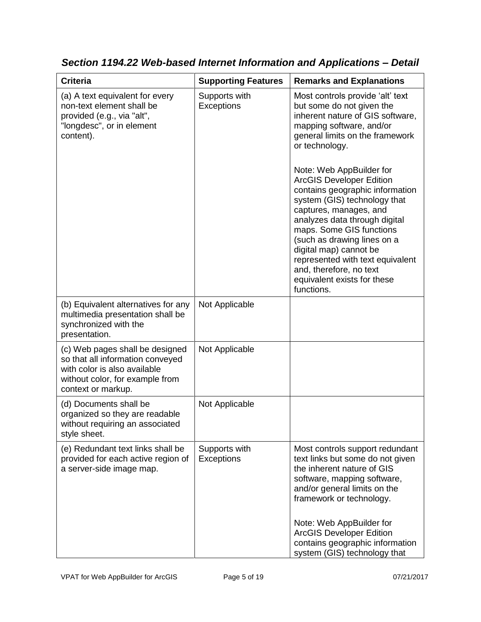| <b>Criteria</b>                                                                                                                                              | <b>Supporting Features</b>         | <b>Remarks and Explanations</b>                                                                                                                                                                                                                                                                                                                                                                                                                                                                                                                                                  |
|--------------------------------------------------------------------------------------------------------------------------------------------------------------|------------------------------------|----------------------------------------------------------------------------------------------------------------------------------------------------------------------------------------------------------------------------------------------------------------------------------------------------------------------------------------------------------------------------------------------------------------------------------------------------------------------------------------------------------------------------------------------------------------------------------|
| (a) A text equivalent for every<br>non-text element shall be<br>provided (e.g., via "alt",<br>"longdesc", or in element<br>content).                         | Supports with<br><b>Exceptions</b> | Most controls provide 'alt' text<br>but some do not given the<br>inherent nature of GIS software,<br>mapping software, and/or<br>general limits on the framework<br>or technology.<br>Note: Web AppBuilder for<br><b>ArcGIS Developer Edition</b><br>contains geographic information<br>system (GIS) technology that<br>captures, manages, and<br>analyzes data through digital<br>maps. Some GIS functions<br>(such as drawing lines on a<br>digital map) cannot be<br>represented with text equivalent<br>and, therefore, no text<br>equivalent exists for these<br>functions. |
| (b) Equivalent alternatives for any<br>multimedia presentation shall be<br>synchronized with the<br>presentation.                                            | Not Applicable                     |                                                                                                                                                                                                                                                                                                                                                                                                                                                                                                                                                                                  |
| (c) Web pages shall be designed<br>so that all information conveyed<br>with color is also available<br>without color, for example from<br>context or markup. | Not Applicable                     |                                                                                                                                                                                                                                                                                                                                                                                                                                                                                                                                                                                  |
| (d) Documents shall be<br>organized so they are readable<br>without requiring an associated<br>style sheet.                                                  | Not Applicable                     |                                                                                                                                                                                                                                                                                                                                                                                                                                                                                                                                                                                  |
| (e) Redundant text links shall be<br>provided for each active region of<br>a server-side image map.                                                          | Supports with<br><b>Exceptions</b> | Most controls support redundant<br>text links but some do not given<br>the inherent nature of GIS<br>software, mapping software,<br>and/or general limits on the<br>framework or technology.<br>Note: Web AppBuilder for<br><b>ArcGIS Developer Edition</b><br>contains geographic information<br>system (GIS) technology that                                                                                                                                                                                                                                                   |

*Section 1194.22 Web-based Internet Information and Applications – Detail*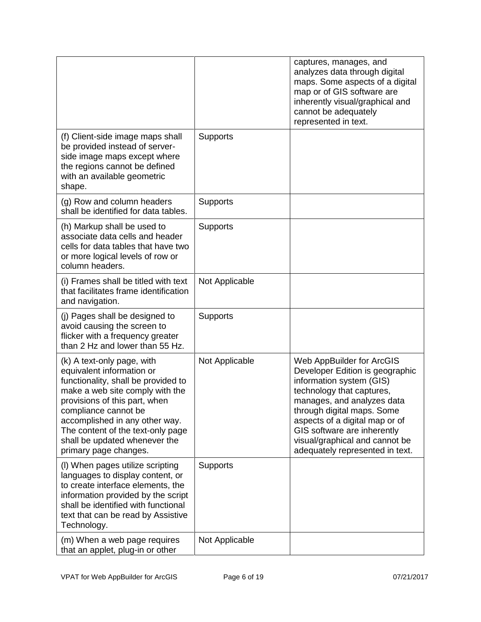|                                                                                                                                                                                                                                                                                                                             |                 | captures, manages, and<br>analyzes data through digital<br>maps. Some aspects of a digital<br>map or of GIS software are<br>inherently visual/graphical and<br>cannot be adequately<br>represented in text.                                                                                                             |
|-----------------------------------------------------------------------------------------------------------------------------------------------------------------------------------------------------------------------------------------------------------------------------------------------------------------------------|-----------------|-------------------------------------------------------------------------------------------------------------------------------------------------------------------------------------------------------------------------------------------------------------------------------------------------------------------------|
| (f) Client-side image maps shall<br>be provided instead of server-<br>side image maps except where<br>the regions cannot be defined<br>with an available geometric<br>shape.                                                                                                                                                | Supports        |                                                                                                                                                                                                                                                                                                                         |
| (g) Row and column headers<br>shall be identified for data tables.                                                                                                                                                                                                                                                          | <b>Supports</b> |                                                                                                                                                                                                                                                                                                                         |
| (h) Markup shall be used to<br>associate data cells and header<br>cells for data tables that have two<br>or more logical levels of row or<br>column headers.                                                                                                                                                                | <b>Supports</b> |                                                                                                                                                                                                                                                                                                                         |
| (i) Frames shall be titled with text<br>that facilitates frame identification<br>and navigation.                                                                                                                                                                                                                            | Not Applicable  |                                                                                                                                                                                                                                                                                                                         |
| (j) Pages shall be designed to<br>avoid causing the screen to<br>flicker with a frequency greater<br>than 2 Hz and lower than 55 Hz.                                                                                                                                                                                        | Supports        |                                                                                                                                                                                                                                                                                                                         |
| (k) A text-only page, with<br>equivalent information or<br>functionality, shall be provided to<br>make a web site comply with the<br>provisions of this part, when<br>compliance cannot be<br>accomplished in any other way.<br>The content of the text-only page<br>shall be updated whenever the<br>primary page changes. | Not Applicable  | Web AppBuilder for ArcGIS<br>Developer Edition is geographic<br>information system (GIS)<br>technology that captures,<br>manages, and analyzes data<br>through digital maps. Some<br>aspects of a digital map or of<br>GIS software are inherently<br>visual/graphical and cannot be<br>adequately represented in text. |
| (I) When pages utilize scripting<br>languages to display content, or<br>to create interface elements, the<br>information provided by the script<br>shall be identified with functional<br>text that can be read by Assistive<br>Technology.                                                                                 | <b>Supports</b> |                                                                                                                                                                                                                                                                                                                         |
| (m) When a web page requires<br>that an applet, plug-in or other                                                                                                                                                                                                                                                            | Not Applicable  |                                                                                                                                                                                                                                                                                                                         |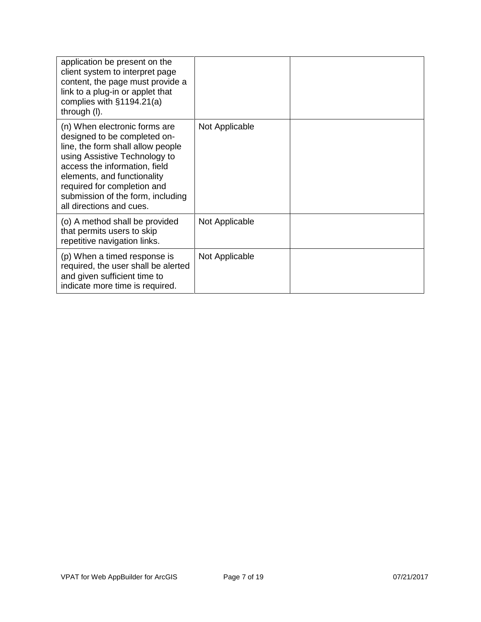| application be present on the<br>client system to interpret page<br>content, the page must provide a<br>link to a plug-in or applet that<br>complies with $§1194.21(a)$<br>through (I).                                                                                                             |                |  |
|-----------------------------------------------------------------------------------------------------------------------------------------------------------------------------------------------------------------------------------------------------------------------------------------------------|----------------|--|
| (n) When electronic forms are<br>designed to be completed on-<br>line, the form shall allow people<br>using Assistive Technology to<br>access the information, field<br>elements, and functionality<br>required for completion and<br>submission of the form, including<br>all directions and cues. | Not Applicable |  |
| (o) A method shall be provided<br>that permits users to skip<br>repetitive navigation links.                                                                                                                                                                                                        | Not Applicable |  |
| (p) When a timed response is<br>required, the user shall be alerted<br>and given sufficient time to<br>indicate more time is required.                                                                                                                                                              | Not Applicable |  |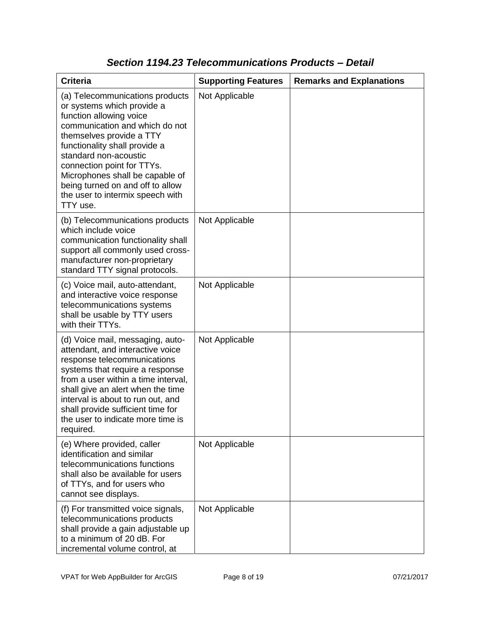| <b>Criteria</b>                                                                                                                                                                                                                                                                                                                                                       | <b>Supporting Features</b> | <b>Remarks and Explanations</b> |
|-----------------------------------------------------------------------------------------------------------------------------------------------------------------------------------------------------------------------------------------------------------------------------------------------------------------------------------------------------------------------|----------------------------|---------------------------------|
| (a) Telecommunications products<br>or systems which provide a<br>function allowing voice<br>communication and which do not<br>themselves provide a TTY<br>functionality shall provide a<br>standard non-acoustic<br>connection point for TTYs.<br>Microphones shall be capable of<br>being turned on and off to allow<br>the user to intermix speech with<br>TTY use. | Not Applicable             |                                 |
| (b) Telecommunications products<br>which include voice<br>communication functionality shall<br>support all commonly used cross-<br>manufacturer non-proprietary<br>standard TTY signal protocols.                                                                                                                                                                     | Not Applicable             |                                 |
| (c) Voice mail, auto-attendant,<br>and interactive voice response<br>telecommunications systems<br>shall be usable by TTY users<br>with their TTYs.                                                                                                                                                                                                                   | Not Applicable             |                                 |
| (d) Voice mail, messaging, auto-<br>attendant, and interactive voice<br>response telecommunications<br>systems that require a response<br>from a user within a time interval,<br>shall give an alert when the time<br>interval is about to run out, and<br>shall provide sufficient time for<br>the user to indicate more time is<br>required.                        | Not Applicable             |                                 |
| (e) Where provided, caller<br>identification and similar<br>telecommunications functions<br>shall also be available for users<br>of TTYs, and for users who<br>cannot see displays.                                                                                                                                                                                   | Not Applicable             |                                 |
| (f) For transmitted voice signals,<br>telecommunications products<br>shall provide a gain adjustable up<br>to a minimum of 20 dB. For<br>incremental volume control, at                                                                                                                                                                                               | Not Applicable             |                                 |

### *Section 1194.23 Telecommunications Products – Detail*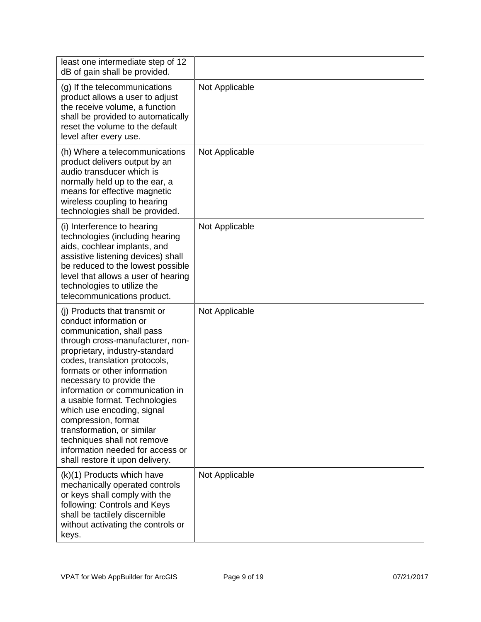| least one intermediate step of 12<br>dB of gain shall be provided.                                                                                                                                                                                                                                                                                                                                                                                                                                                   |                |  |
|----------------------------------------------------------------------------------------------------------------------------------------------------------------------------------------------------------------------------------------------------------------------------------------------------------------------------------------------------------------------------------------------------------------------------------------------------------------------------------------------------------------------|----------------|--|
| (g) If the telecommunications<br>product allows a user to adjust<br>the receive volume, a function<br>shall be provided to automatically<br>reset the volume to the default<br>level after every use.                                                                                                                                                                                                                                                                                                                | Not Applicable |  |
| (h) Where a telecommunications<br>product delivers output by an<br>audio transducer which is<br>normally held up to the ear, a<br>means for effective magnetic<br>wireless coupling to hearing<br>technologies shall be provided.                                                                                                                                                                                                                                                                                    | Not Applicable |  |
| (i) Interference to hearing<br>technologies (including hearing<br>aids, cochlear implants, and<br>assistive listening devices) shall<br>be reduced to the lowest possible<br>level that allows a user of hearing<br>technologies to utilize the<br>telecommunications product.                                                                                                                                                                                                                                       | Not Applicable |  |
| (i) Products that transmit or<br>conduct information or<br>communication, shall pass<br>through cross-manufacturer, non-<br>proprietary, industry-standard<br>codes, translation protocols,<br>formats or other information<br>necessary to provide the<br>information or communication in<br>a usable format. Technologies<br>which use encoding, signal<br>compression, format<br>transformation, or similar<br>techniques shall not remove<br>information needed for access or<br>shall restore it upon delivery. | Not Applicable |  |
| (k)(1) Products which have<br>mechanically operated controls<br>or keys shall comply with the<br>following: Controls and Keys<br>shall be tactilely discernible<br>without activating the controls or<br>keys.                                                                                                                                                                                                                                                                                                       | Not Applicable |  |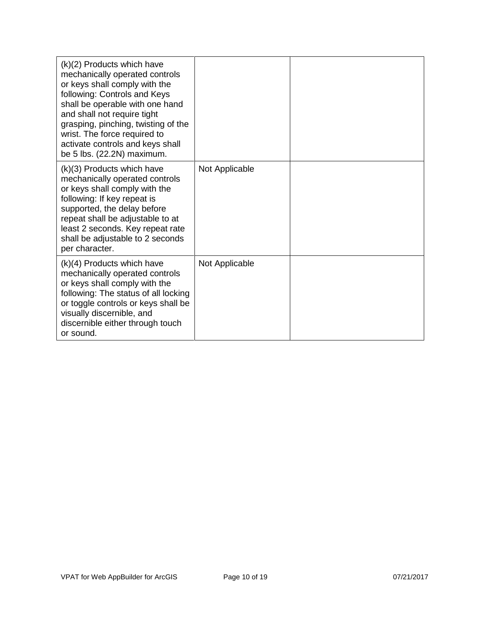| $(k)(2)$ Products which have<br>mechanically operated controls<br>or keys shall comply with the<br>following: Controls and Keys<br>shall be operable with one hand<br>and shall not require tight<br>grasping, pinching, twisting of the<br>wrist. The force required to<br>activate controls and keys shall<br>be 5 lbs. (22.2N) maximum. |                |  |
|--------------------------------------------------------------------------------------------------------------------------------------------------------------------------------------------------------------------------------------------------------------------------------------------------------------------------------------------|----------------|--|
| (k)(3) Products which have<br>mechanically operated controls<br>or keys shall comply with the<br>following: If key repeat is<br>supported, the delay before<br>repeat shall be adjustable to at<br>least 2 seconds. Key repeat rate<br>shall be adjustable to 2 seconds<br>per character.                                                  | Not Applicable |  |
| $(k)(4)$ Products which have<br>mechanically operated controls<br>or keys shall comply with the<br>following: The status of all locking<br>or toggle controls or keys shall be<br>visually discernible, and<br>discernible either through touch<br>or sound.                                                                               | Not Applicable |  |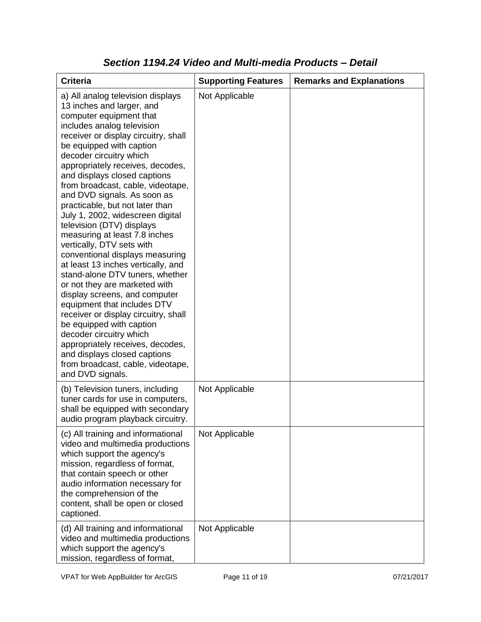| <b>Criteria</b>                                                                                                                                                                                                                                                                                                                                                                                                                                                                                                                                                                                                                                                                                                                                                                                                                                                                                                                                                           | <b>Supporting Features</b> | <b>Remarks and Explanations</b> |
|---------------------------------------------------------------------------------------------------------------------------------------------------------------------------------------------------------------------------------------------------------------------------------------------------------------------------------------------------------------------------------------------------------------------------------------------------------------------------------------------------------------------------------------------------------------------------------------------------------------------------------------------------------------------------------------------------------------------------------------------------------------------------------------------------------------------------------------------------------------------------------------------------------------------------------------------------------------------------|----------------------------|---------------------------------|
| a) All analog television displays<br>13 inches and larger, and<br>computer equipment that<br>includes analog television<br>receiver or display circuitry, shall<br>be equipped with caption<br>decoder circuitry which<br>appropriately receives, decodes,<br>and displays closed captions<br>from broadcast, cable, videotape,<br>and DVD signals. As soon as<br>practicable, but not later than<br>July 1, 2002, widescreen digital<br>television (DTV) displays<br>measuring at least 7.8 inches<br>vertically, DTV sets with<br>conventional displays measuring<br>at least 13 inches vertically, and<br>stand-alone DTV tuners, whether<br>or not they are marketed with<br>display screens, and computer<br>equipment that includes DTV<br>receiver or display circuitry, shall<br>be equipped with caption<br>decoder circuitry which<br>appropriately receives, decodes,<br>and displays closed captions<br>from broadcast, cable, videotape,<br>and DVD signals. | Not Applicable             |                                 |
| (b) Television tuners, including<br>tuner cards for use in computers,<br>shall be equipped with secondary<br>audio program playback circuitry.                                                                                                                                                                                                                                                                                                                                                                                                                                                                                                                                                                                                                                                                                                                                                                                                                            | Not Applicable             |                                 |
| (c) All training and informational<br>video and multimedia productions<br>which support the agency's<br>mission, regardless of format,<br>that contain speech or other<br>audio information necessary for<br>the comprehension of the<br>content, shall be open or closed<br>captioned.                                                                                                                                                                                                                                                                                                                                                                                                                                                                                                                                                                                                                                                                                   | Not Applicable             |                                 |
| (d) All training and informational<br>video and multimedia productions<br>which support the agency's<br>mission, regardless of format,                                                                                                                                                                                                                                                                                                                                                                                                                                                                                                                                                                                                                                                                                                                                                                                                                                    | Not Applicable             |                                 |

### *Section 1194.24 Video and Multi-media Products – Detail*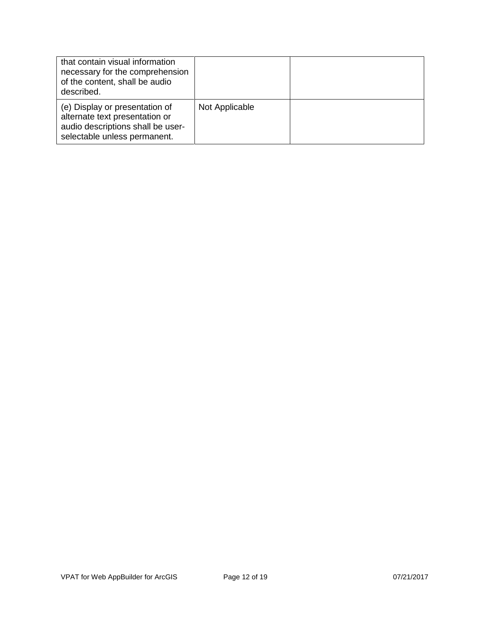| that contain visual information<br>necessary for the comprehension<br>of the content, shall be audio<br>described.                    |                |  |
|---------------------------------------------------------------------------------------------------------------------------------------|----------------|--|
| (e) Display or presentation of<br>alternate text presentation or<br>audio descriptions shall be user-<br>selectable unless permanent. | Not Applicable |  |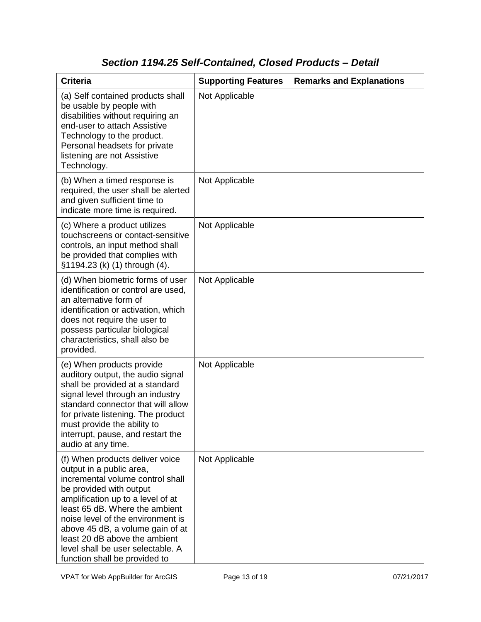# *Section 1194.25 Self-Contained, Closed Products – Detail*

| <b>Criteria</b>                                                                                                                                                                                                                                                                                                                                                                   | <b>Supporting Features</b> | <b>Remarks and Explanations</b> |
|-----------------------------------------------------------------------------------------------------------------------------------------------------------------------------------------------------------------------------------------------------------------------------------------------------------------------------------------------------------------------------------|----------------------------|---------------------------------|
| (a) Self contained products shall<br>be usable by people with<br>disabilities without requiring an<br>end-user to attach Assistive<br>Technology to the product.<br>Personal headsets for private<br>listening are not Assistive<br>Technology.                                                                                                                                   | Not Applicable             |                                 |
| (b) When a timed response is<br>required, the user shall be alerted<br>and given sufficient time to<br>indicate more time is required.                                                                                                                                                                                                                                            | Not Applicable             |                                 |
| (c) Where a product utilizes<br>touchscreens or contact-sensitive<br>controls, an input method shall<br>be provided that complies with<br>§1194.23 (k) (1) through (4).                                                                                                                                                                                                           | Not Applicable             |                                 |
| (d) When biometric forms of user<br>identification or control are used,<br>an alternative form of<br>identification or activation, which<br>does not require the user to<br>possess particular biological<br>characteristics, shall also be<br>provided.                                                                                                                          | Not Applicable             |                                 |
| (e) When products provide<br>auditory output, the audio signal<br>shall be provided at a standard<br>signal level through an industry<br>standard connector that will allow<br>for private listening. The product<br>must provide the ability to<br>interrupt, pause, and restart the<br>audio at any time.                                                                       | Not Applicable             |                                 |
| (f) When products deliver voice<br>output in a public area,<br>incremental volume control shall<br>be provided with output<br>amplification up to a level of at<br>least 65 dB. Where the ambient<br>noise level of the environment is<br>above 45 dB, a volume gain of at<br>least 20 dB above the ambient<br>level shall be user selectable. A<br>function shall be provided to | Not Applicable             |                                 |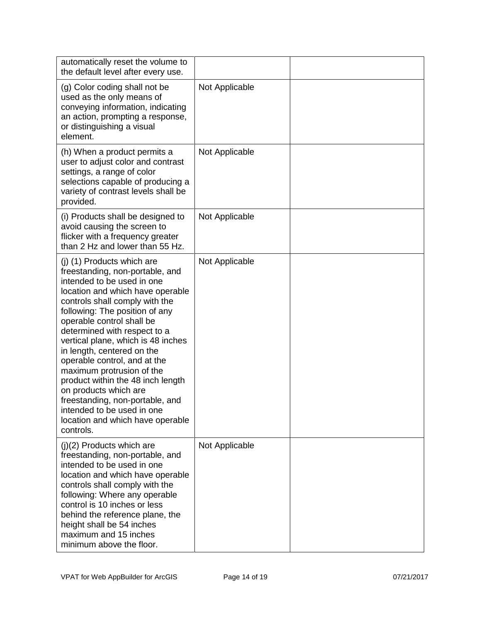| automatically reset the volume to<br>the default level after every use.                                                                                                                                                                                                                                                                                                                                                                                                                                                                                                           |                |  |
|-----------------------------------------------------------------------------------------------------------------------------------------------------------------------------------------------------------------------------------------------------------------------------------------------------------------------------------------------------------------------------------------------------------------------------------------------------------------------------------------------------------------------------------------------------------------------------------|----------------|--|
| (g) Color coding shall not be<br>used as the only means of<br>conveying information, indicating<br>an action, prompting a response,<br>or distinguishing a visual<br>element.                                                                                                                                                                                                                                                                                                                                                                                                     | Not Applicable |  |
| (h) When a product permits a<br>user to adjust color and contrast<br>settings, a range of color<br>selections capable of producing a<br>variety of contrast levels shall be<br>provided.                                                                                                                                                                                                                                                                                                                                                                                          | Not Applicable |  |
| (i) Products shall be designed to<br>avoid causing the screen to<br>flicker with a frequency greater<br>than 2 Hz and lower than 55 Hz.                                                                                                                                                                                                                                                                                                                                                                                                                                           | Not Applicable |  |
| (j) (1) Products which are<br>freestanding, non-portable, and<br>intended to be used in one<br>location and which have operable<br>controls shall comply with the<br>following: The position of any<br>operable control shall be<br>determined with respect to a<br>vertical plane, which is 48 inches<br>in length, centered on the<br>operable control, and at the<br>maximum protrusion of the<br>product within the 48 inch length<br>on products which are<br>freestanding, non-portable, and<br>intended to be used in one<br>location and which have operable<br>controls. | Not Applicable |  |
| $(j)(2)$ Products which are<br>freestanding, non-portable, and<br>intended to be used in one<br>location and which have operable<br>controls shall comply with the<br>following: Where any operable<br>control is 10 inches or less<br>behind the reference plane, the<br>height shall be 54 inches<br>maximum and 15 inches<br>minimum above the floor.                                                                                                                                                                                                                          | Not Applicable |  |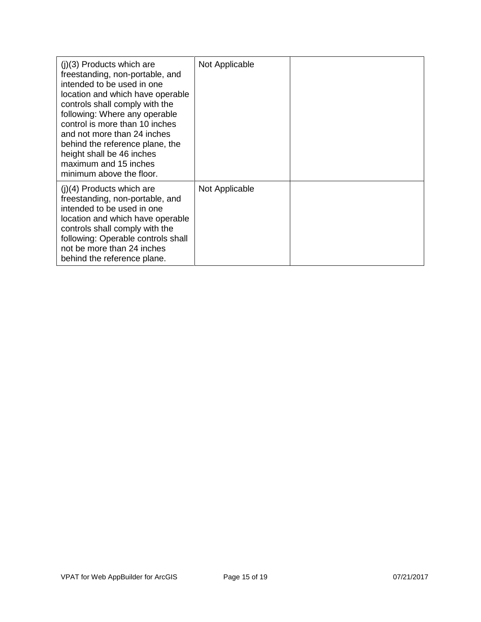| $(i)(3)$ Products which are<br>freestanding, non-portable, and<br>intended to be used in one<br>location and which have operable<br>controls shall comply with the<br>following: Where any operable<br>control is more than 10 inches<br>and not more than 24 inches<br>behind the reference plane, the<br>height shall be 46 inches<br>maximum and 15 inches<br>minimum above the floor. | Not Applicable |  |
|-------------------------------------------------------------------------------------------------------------------------------------------------------------------------------------------------------------------------------------------------------------------------------------------------------------------------------------------------------------------------------------------|----------------|--|
| $(i)(4)$ Products which are<br>freestanding, non-portable, and<br>intended to be used in one<br>location and which have operable<br>controls shall comply with the<br>following: Operable controls shall<br>not be more than 24 inches<br>behind the reference plane.                                                                                                                     | Not Applicable |  |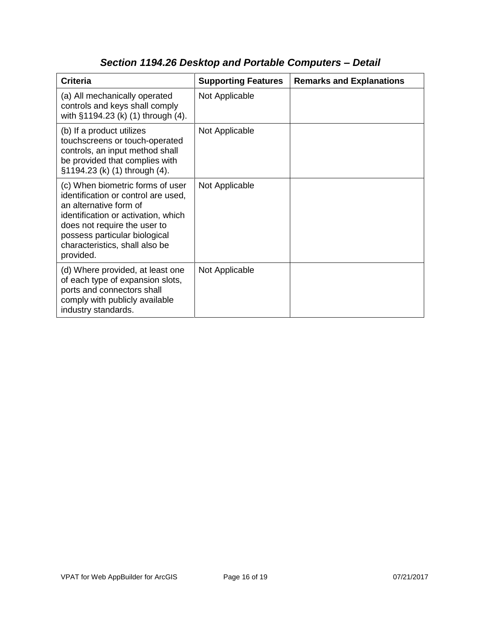| <b>Criteria</b>                                                                                                                                                                                                                                          | <b>Supporting Features</b> | <b>Remarks and Explanations</b> |
|----------------------------------------------------------------------------------------------------------------------------------------------------------------------------------------------------------------------------------------------------------|----------------------------|---------------------------------|
| (a) All mechanically operated<br>controls and keys shall comply<br>with §1194.23 (k) (1) through (4).                                                                                                                                                    | Not Applicable             |                                 |
| (b) If a product utilizes<br>touchscreens or touch-operated<br>controls, an input method shall<br>be provided that complies with<br>§1194.23 (k) (1) through (4).                                                                                        | Not Applicable             |                                 |
| (c) When biometric forms of user<br>identification or control are used,<br>an alternative form of<br>identification or activation, which<br>does not require the user to<br>possess particular biological<br>characteristics, shall also be<br>provided. | Not Applicable             |                                 |
| (d) Where provided, at least one<br>of each type of expansion slots,<br>ports and connectors shall<br>comply with publicly available<br>industry standards.                                                                                              | Not Applicable             |                                 |

# *Section 1194.26 Desktop and Portable Computers – Detail*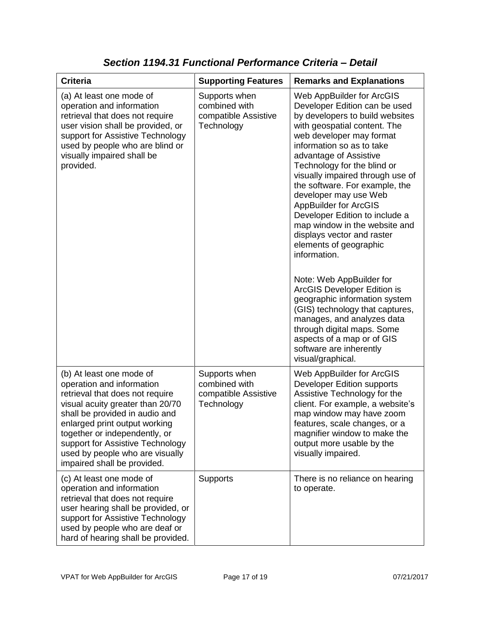| <b>Criteria</b>                                                                                                                                                                                                                                                                                                                        | <b>Supporting Features</b>                                           | <b>Remarks and Explanations</b>                                                                                                                                                                                                                                                                                                                                                                                                                                                                                                                                                                                                                                                                                                                                                                    |
|----------------------------------------------------------------------------------------------------------------------------------------------------------------------------------------------------------------------------------------------------------------------------------------------------------------------------------------|----------------------------------------------------------------------|----------------------------------------------------------------------------------------------------------------------------------------------------------------------------------------------------------------------------------------------------------------------------------------------------------------------------------------------------------------------------------------------------------------------------------------------------------------------------------------------------------------------------------------------------------------------------------------------------------------------------------------------------------------------------------------------------------------------------------------------------------------------------------------------------|
| (a) At least one mode of<br>operation and information<br>retrieval that does not require<br>user vision shall be provided, or<br>support for Assistive Technology<br>used by people who are blind or<br>visually impaired shall be<br>provided.                                                                                        | Supports when<br>combined with<br>compatible Assistive<br>Technology | Web AppBuilder for ArcGIS<br>Developer Edition can be used<br>by developers to build websites<br>with geospatial content. The<br>web developer may format<br>information so as to take<br>advantage of Assistive<br>Technology for the blind or<br>visually impaired through use of<br>the software. For example, the<br>developer may use Web<br><b>AppBuilder for ArcGIS</b><br>Developer Edition to include a<br>map window in the website and<br>displays vector and raster<br>elements of geographic<br>information.<br>Note: Web AppBuilder for<br>ArcGIS Developer Edition is<br>geographic information system<br>(GIS) technology that captures,<br>manages, and analyzes data<br>through digital maps. Some<br>aspects of a map or of GIS<br>software are inherently<br>visual/graphical. |
| (b) At least one mode of<br>operation and information<br>retrieval that does not require<br>visual acuity greater than 20/70<br>shall be provided in audio and<br>enlarged print output working<br>together or independently, or<br>support for Assistive Technology<br>used by people who are visually<br>impaired shall be provided. | Supports when<br>combined with<br>compatible Assistive<br>Technology | Web AppBuilder for ArcGIS<br><b>Developer Edition supports</b><br>Assistive Technology for the<br>client. For example, a website's<br>map window may have zoom<br>features, scale changes, or a<br>magnifier window to make the<br>output more usable by the<br>visually impaired.                                                                                                                                                                                                                                                                                                                                                                                                                                                                                                                 |
| (c) At least one mode of<br>operation and information<br>retrieval that does not require<br>user hearing shall be provided, or<br>support for Assistive Technology<br>used by people who are deaf or<br>hard of hearing shall be provided.                                                                                             | <b>Supports</b>                                                      | There is no reliance on hearing<br>to operate.                                                                                                                                                                                                                                                                                                                                                                                                                                                                                                                                                                                                                                                                                                                                                     |

*Section 1194.31 Functional Performance Criteria – Detail*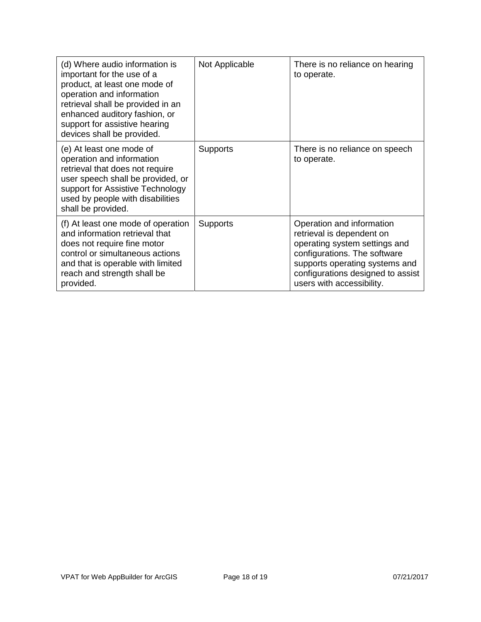| (d) Where audio information is<br>important for the use of a<br>product, at least one mode of<br>operation and information<br>retrieval shall be provided in an<br>enhanced auditory fashion, or<br>support for assistive hearing<br>devices shall be provided. | Not Applicable  | There is no reliance on hearing<br>to operate.                                                                                                                                                                              |
|-----------------------------------------------------------------------------------------------------------------------------------------------------------------------------------------------------------------------------------------------------------------|-----------------|-----------------------------------------------------------------------------------------------------------------------------------------------------------------------------------------------------------------------------|
| (e) At least one mode of<br>operation and information<br>retrieval that does not require<br>user speech shall be provided, or<br>support for Assistive Technology<br>used by people with disabilities<br>shall be provided.                                     | <b>Supports</b> | There is no reliance on speech<br>to operate.                                                                                                                                                                               |
| (f) At least one mode of operation<br>and information retrieval that<br>does not require fine motor<br>control or simultaneous actions<br>and that is operable with limited<br>reach and strength shall be<br>provided.                                         | <b>Supports</b> | Operation and information<br>retrieval is dependent on<br>operating system settings and<br>configurations. The software<br>supports operating systems and<br>configurations designed to assist<br>users with accessibility. |